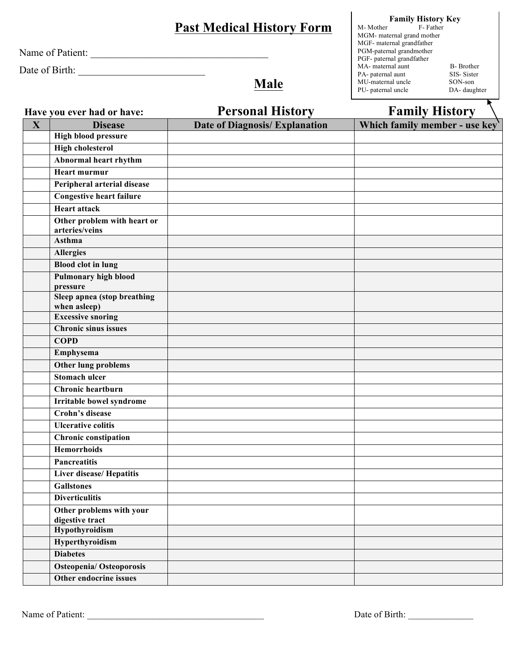Name of Patient: \_\_\_\_\_\_\_\_\_\_\_\_\_\_\_\_\_\_\_\_\_\_\_\_\_\_\_\_\_\_\_\_\_\_\_

Date of Birth: \_\_\_\_\_\_\_\_\_\_\_\_\_\_\_\_\_\_\_\_\_\_\_\_\_

**Male**

**Family History Key** M- Mother F- Father MGM- maternal grand mother MGF- maternal grandfather PGM-paternal grandmother PGF- paternal grandfather MA- maternal aunt B- Brother PA- paternal aunt SIS- Sister<br>MU-maternal uncle SON-son MU-maternal uncle<br>
PU- paternal uncle<br>
DA- daughter PU- paternal uncle

 $\overline{\bullet}$ 

|              | Have you ever had or have:                     | <b>Personal History</b>        | <b>Family History</b>         |
|--------------|------------------------------------------------|--------------------------------|-------------------------------|
| $\mathbf{X}$ | <b>Disease</b>                                 | Date of Diagnosis/ Explanation | Which family member - use key |
|              | <b>High blood pressure</b>                     |                                |                               |
|              | <b>High cholesterol</b>                        |                                |                               |
|              | <b>Abnormal heart rhythm</b>                   |                                |                               |
|              | <b>Heart murmur</b>                            |                                |                               |
|              | Peripheral arterial disease                    |                                |                               |
|              | Congestive heart failure                       |                                |                               |
|              | <b>Heart attack</b>                            |                                |                               |
|              | Other problem with heart or                    |                                |                               |
|              | arteries/veins                                 |                                |                               |
|              | Asthma                                         |                                |                               |
|              | <b>Allergies</b>                               |                                |                               |
|              | <b>Blood clot in lung</b>                      |                                |                               |
|              | <b>Pulmonary high blood</b>                    |                                |                               |
|              | pressure<br><b>Sleep apnea (stop breathing</b> |                                |                               |
|              | when asleep)                                   |                                |                               |
|              | <b>Excessive snoring</b>                       |                                |                               |
|              | <b>Chronic sinus issues</b>                    |                                |                               |
|              | <b>COPD</b>                                    |                                |                               |
|              | Emphysema                                      |                                |                               |
|              | <b>Other lung problems</b>                     |                                |                               |
|              | <b>Stomach ulcer</b>                           |                                |                               |
|              | Chronic heartburn                              |                                |                               |
|              | <b>Irritable</b> bowel syndrome                |                                |                               |
|              | <b>Crohn's disease</b>                         |                                |                               |
|              | <b>Ulcerative colitis</b>                      |                                |                               |
|              | <b>Chronic constipation</b>                    |                                |                               |
|              | <b>Hemorrhoids</b>                             |                                |                               |
|              | <b>Pancreatitis</b>                            |                                |                               |
|              | <b>Liver disease/ Hepatitis</b>                |                                |                               |
|              | Gallstones                                     |                                |                               |
|              | <b>Diverticulitis</b>                          |                                |                               |
|              | Other problems with your                       |                                |                               |
|              | digestive tract                                |                                |                               |
|              | <b>Hypothyroidism</b>                          |                                |                               |
|              | Hyperthyroidism                                |                                |                               |
|              | <b>Diabetes</b>                                |                                |                               |
|              | <b>Osteopenia/ Osteoporosis</b>                |                                |                               |
|              | Other endocrine issues                         |                                |                               |

Name of Patient: \_\_\_\_\_\_\_\_\_\_\_\_\_\_\_\_\_\_\_\_\_\_\_\_\_\_\_\_\_\_\_\_\_\_\_\_\_\_ Date of Birth: \_\_\_\_\_\_\_\_\_\_\_\_\_\_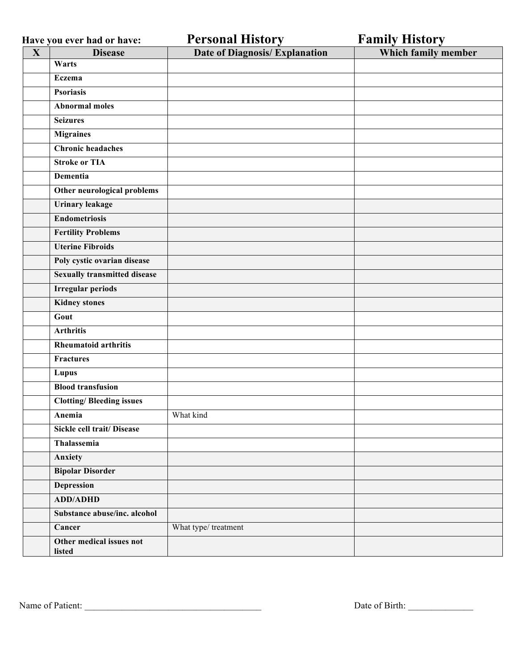|             | Have you ever had or have:          | <b>Personal History</b>               | <b>Family History</b> |
|-------------|-------------------------------------|---------------------------------------|-----------------------|
| $\mathbf X$ | <b>Disease</b>                      | <b>Date of Diagnosis/ Explanation</b> | Which family member   |
|             | Warts                               |                                       |                       |
|             | Eczema                              |                                       |                       |
|             | <b>Psoriasis</b>                    |                                       |                       |
|             | <b>Abnormal moles</b>               |                                       |                       |
|             | <b>Seizures</b>                     |                                       |                       |
|             | <b>Migraines</b>                    |                                       |                       |
|             | <b>Chronic headaches</b>            |                                       |                       |
|             | <b>Stroke or TIA</b>                |                                       |                       |
|             | <b>Dementia</b>                     |                                       |                       |
|             | Other neurological problems         |                                       |                       |
|             | <b>Urinary leakage</b>              |                                       |                       |
|             | <b>Endometriosis</b>                |                                       |                       |
|             | <b>Fertility Problems</b>           |                                       |                       |
|             | <b>Uterine Fibroids</b>             |                                       |                       |
|             | Poly cystic ovarian disease         |                                       |                       |
|             | <b>Sexually transmitted disease</b> |                                       |                       |
|             | <b>Irregular periods</b>            |                                       |                       |
|             | <b>Kidney stones</b>                |                                       |                       |
|             | Gout                                |                                       |                       |
|             | <b>Arthritis</b>                    |                                       |                       |
|             | <b>Rheumatoid arthritis</b>         |                                       |                       |
|             | <b>Fractures</b>                    |                                       |                       |
|             | Lupus                               |                                       |                       |
|             | <b>Blood transfusion</b>            |                                       |                       |
|             | <b>Clotting/Bleeding issues</b>     |                                       |                       |
|             | Anemia                              | What kind                             |                       |
|             | Sickle cell trait/ Disease          |                                       |                       |
|             | Thalassemia                         |                                       |                       |
|             | Anxiety                             |                                       |                       |
|             | <b>Bipolar Disorder</b>             |                                       |                       |
|             | <b>Depression</b>                   |                                       |                       |
|             | <b>ADD/ADHD</b>                     |                                       |                       |
|             | Substance abuse/inc. alcohol        |                                       |                       |
|             | Cancer                              | What type/treatment                   |                       |
|             | Other medical issues not            |                                       |                       |
|             | listed                              |                                       |                       |

Name of Patient: \_\_\_\_\_\_\_\_\_\_\_\_\_\_\_\_\_\_\_\_\_\_\_\_\_\_\_\_\_\_\_\_\_\_\_\_\_\_ Date of Birth: \_\_\_\_\_\_\_\_\_\_\_\_\_\_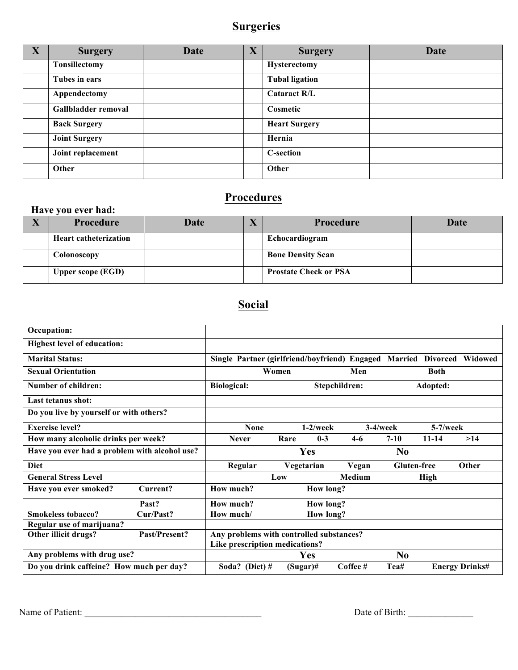## **Surgeries**

| X | <b>Surgery</b>       | Date | $\mathbf X$ | <b>Surgery</b>        | Date |
|---|----------------------|------|-------------|-----------------------|------|
|   | <b>Tonsillectomy</b> |      |             | <b>Hysterectomy</b>   |      |
|   | Tubes in ears        |      |             | <b>Tubal ligation</b> |      |
|   | Appendectomy         |      |             | <b>Cataract R/L</b>   |      |
|   | Gallbladder removal  |      |             | Cosmetic              |      |
|   | <b>Back Surgery</b>  |      |             | <b>Heart Surgery</b>  |      |
|   | <b>Joint Surgery</b> |      |             | Hernia                |      |
|   | Joint replacement    |      |             | <b>C-section</b>      |      |
|   | Other                |      |             | Other                 |      |

# **Procedures**

#### **Have you ever had:**

| $\Lambda$ | Procedure                    | Date | $\sqrt{2}$ | Procedure                    | Date |
|-----------|------------------------------|------|------------|------------------------------|------|
|           | <b>Heart catheterization</b> |      |            | Echocardiogram               |      |
|           | Colonoscopy                  |      |            | <b>Bone Density Scan</b>     |      |
|           | <b>Upper scope (EGD)</b>     |      |            | <b>Prostate Check or PSA</b> |      |

# **Social**

| Occupation:                                   |                                |                                               |               |                  |                |                    |                 |                       |
|-----------------------------------------------|--------------------------------|-----------------------------------------------|---------------|------------------|----------------|--------------------|-----------------|-----------------------|
| <b>Highest level of education:</b>            |                                |                                               |               |                  |                |                    |                 |                       |
| <b>Marital Status:</b>                        |                                | Single Partner (girlfriend/boyfriend) Engaged |               |                  |                | Married            | <b>Divorced</b> | Widowed               |
| <b>Sexual Orientation</b>                     |                                | Women<br>Men                                  |               |                  | <b>Both</b>    |                    |                 |                       |
| <b>Number of children:</b>                    |                                | <b>Biological:</b>                            | Stepchildren: |                  |                | Adopted:           |                 |                       |
| <b>Last tetanus shot:</b>                     |                                |                                               |               |                  |                |                    |                 |                       |
| Do you live by yourself or with others?       |                                |                                               |               |                  |                |                    |                 |                       |
| <b>Exercise level?</b>                        | <b>None</b>                    |                                               | $1-2$ /week   | $3-4$ /week      |                | $5-7$ /week        |                 |                       |
| How many alcoholic drinks per week?           |                                | <b>Never</b>                                  | Rare          | $0-3$            | $4-6$          | $7 - 10$           | $11 - 14$       | >14                   |
| Have you ever had a problem with alcohol use? |                                |                                               |               | <b>Yes</b>       |                | N <sub>0</sub>     |                 |                       |
| <b>Diet</b>                                   |                                | Regular                                       | Vegetarian    |                  | Vegan          | <b>Gluten-free</b> |                 | Other                 |
| <b>General Stress Level</b>                   |                                |                                               | Low           |                  | Medium         |                    | <b>High</b>     |                       |
| Have you ever smoked?                         | Current?                       | How much?                                     |               | <b>How long?</b> |                |                    |                 |                       |
|                                               | Past?                          | How much?                                     |               | <b>How long?</b> |                |                    |                 |                       |
| <b>Smokeless tobacco?</b>                     | Cur/Past?                      | How much/                                     |               | How long?        |                |                    |                 |                       |
| Regular use of marijuana?                     |                                |                                               |               |                  |                |                    |                 |                       |
| Past/Present?<br>Other illicit drugs?         |                                | Any problems with controlled substances?      |               |                  |                |                    |                 |                       |
|                                               | Like prescription medications? |                                               |               |                  |                |                    |                 |                       |
| Any problems with drug use?                   |                                |                                               | Yes           |                  | N <sub>0</sub> |                    |                 |                       |
| Do you drink caffeine? How much per day?      |                                | Soda? (Diet) #                                | $(Sugar)$ #   |                  | $Coffee \#$    | Tea#               |                 | <b>Energy Drinks#</b> |

Name of Patient: \_\_\_\_\_\_\_\_\_\_\_\_\_\_\_\_\_\_\_\_\_\_\_\_\_\_\_\_\_\_\_\_\_\_\_\_\_\_ Date of Birth: \_\_\_\_\_\_\_\_\_\_\_\_\_\_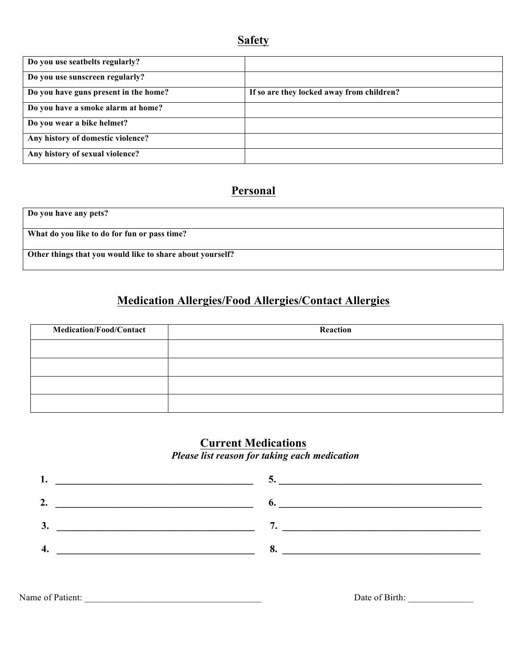| Do you use seatbelts regularly?       |                                           |
|---------------------------------------|-------------------------------------------|
| Do you use sunscreen regularly?       |                                           |
| Do you have guns present in the home? | If so are they locked away from children? |
| Do you have a smoke alarm at home?    |                                           |
| Do you wear a bike helmet?            |                                           |
| Any history of domestic violence?     |                                           |
| Any history of sexual violence?       |                                           |

#### **Personal**

**Do you have any pets? What do you like to do for fun or pass time? Other things that you would like to share about yourself?**

### **Medication Allergies/Food Allergies/Contact Allergies**

| <b>Medication/Food/Contact</b> | Reaction |
|--------------------------------|----------|
|                                |          |
|                                |          |
|                                |          |
|                                |          |

#### **Current Medications** *Please list reason for taking each medication*



Name of Patient: <br>
Date of Birth: <br>
Date of Birth: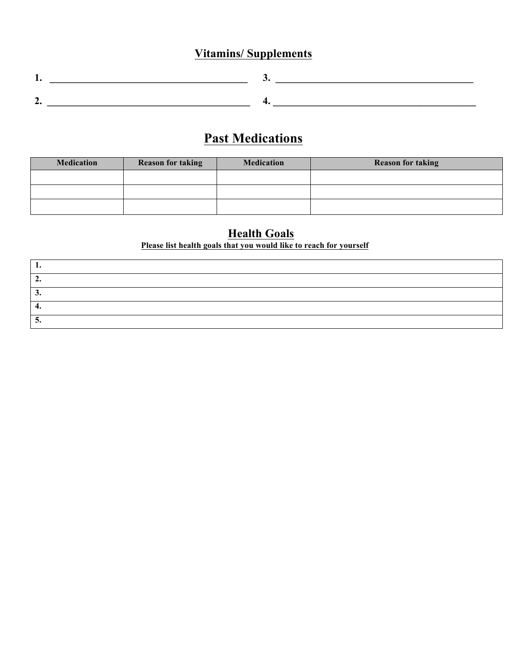# **Vitamins/ Supplements**

| $\overline{\phantom{a}}$ |  |
|--------------------------|--|

# **Past Medications**

| <b>Medication</b> | <b>Reason for taking</b> | <b>Medication</b> | <b>Reason for taking</b> |
|-------------------|--------------------------|-------------------|--------------------------|
|                   |                          |                   |                          |
|                   |                          |                   |                          |
|                   |                          |                   |                          |

#### **Health Goals Please list health goals that you would like to reach for yourself**

| ∼  |  |
|----|--|
| ◡. |  |
| т. |  |
| ◡• |  |